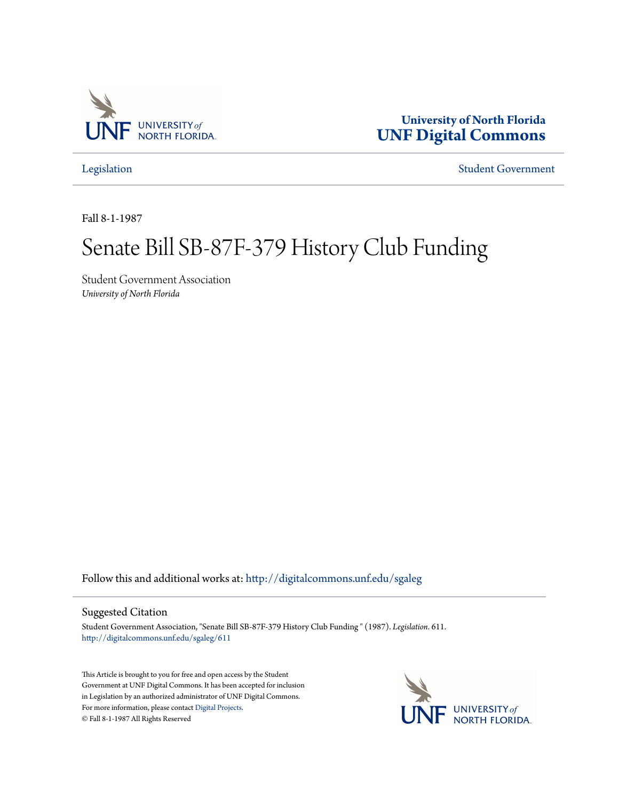

**University of North Florida [UNF Digital Commons](http://digitalcommons.unf.edu?utm_source=digitalcommons.unf.edu%2Fsgaleg%2F611&utm_medium=PDF&utm_campaign=PDFCoverPages)**

[Legislation](http://digitalcommons.unf.edu/sgaleg?utm_source=digitalcommons.unf.edu%2Fsgaleg%2F611&utm_medium=PDF&utm_campaign=PDFCoverPages) [Student Government](http://digitalcommons.unf.edu/sga?utm_source=digitalcommons.unf.edu%2Fsgaleg%2F611&utm_medium=PDF&utm_campaign=PDFCoverPages)

Fall 8-1-1987

## Senate Bill SB-87F-379 History Club Funding

Student Government Association *University of North Florida*

Follow this and additional works at: [http://digitalcommons.unf.edu/sgaleg](http://digitalcommons.unf.edu/sgaleg?utm_source=digitalcommons.unf.edu%2Fsgaleg%2F611&utm_medium=PDF&utm_campaign=PDFCoverPages)

## Suggested Citation

Student Government Association, "Senate Bill SB-87F-379 History Club Funding " (1987). *Legislation*. 611. [http://digitalcommons.unf.edu/sgaleg/611](http://digitalcommons.unf.edu/sgaleg/611?utm_source=digitalcommons.unf.edu%2Fsgaleg%2F611&utm_medium=PDF&utm_campaign=PDFCoverPages)

This Article is brought to you for free and open access by the Student Government at UNF Digital Commons. It has been accepted for inclusion in Legislation by an authorized administrator of UNF Digital Commons. For more information, please contact [Digital Projects](mailto:lib-digital@unf.edu). © Fall 8-1-1987 All Rights Reserved